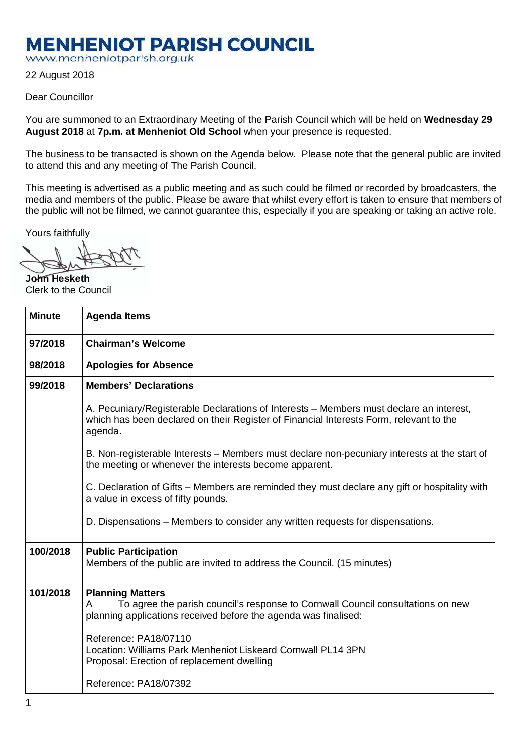## **MENHENIOT PARISH COUNCIL**

www.menheniotparish.org.uk

22 August 2018

Dear Councillor

You are summoned to an Extraordinary Meeting of the Parish Council which will be held on **Wednesday 29 August 2018** at **7p.m. at Menheniot Old School** when your presence is requested.

The business to be transacted is shown on the Agenda below. Please note that the general public are invited to attend this and any meeting of The Parish Council.

This meeting is advertised as a public meeting and as such could be filmed or recorded by broadcasters, the media and members of the public. Please be aware that whilst every effort is taken to ensure that members of the public will not be filmed, we cannot guarantee this, especially if you are speaking or taking an active role.

Yours faithfully

**John Hesketh**  Clerk to the Council

| <b>Minute</b> | <b>Agenda Items</b>                                                                                                                                                                          |  |  |  |  |  |
|---------------|----------------------------------------------------------------------------------------------------------------------------------------------------------------------------------------------|--|--|--|--|--|
| 97/2018       | <b>Chairman's Welcome</b>                                                                                                                                                                    |  |  |  |  |  |
| 98/2018       | <b>Apologies for Absence</b>                                                                                                                                                                 |  |  |  |  |  |
| 99/2018       | <b>Members' Declarations</b>                                                                                                                                                                 |  |  |  |  |  |
|               | A. Pecuniary/Registerable Declarations of Interests – Members must declare an interest,<br>which has been declared on their Register of Financial Interests Form, relevant to the<br>agenda. |  |  |  |  |  |
|               | B. Non-registerable Interests - Members must declare non-pecuniary interests at the start of<br>the meeting or whenever the interests become apparent.                                       |  |  |  |  |  |
|               | C. Declaration of Gifts – Members are reminded they must declare any gift or hospitality with<br>a value in excess of fifty pounds.                                                          |  |  |  |  |  |
|               | D. Dispensations – Members to consider any written requests for dispensations.                                                                                                               |  |  |  |  |  |
| 100/2018      | <b>Public Participation</b><br>Members of the public are invited to address the Council. (15 minutes)                                                                                        |  |  |  |  |  |
| 101/2018      | <b>Planning Matters</b><br>To agree the parish council's response to Cornwall Council consultations on new<br>A<br>planning applications received before the agenda was finalised:           |  |  |  |  |  |
|               | Reference: PA18/07110<br>Location: Williams Park Menheniot Liskeard Cornwall PL14 3PN<br>Proposal: Erection of replacement dwelling                                                          |  |  |  |  |  |
|               | Reference: PA18/07392                                                                                                                                                                        |  |  |  |  |  |